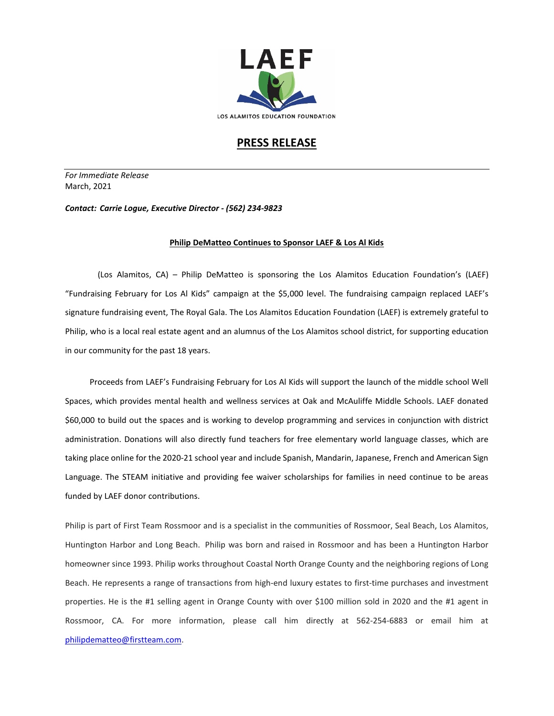

## **PRESS RELEASE**

*For Immediate Release*  March, 2021

*Contact: Carrie Logue, Executive Director - (562) 234-9823*

## **Philip DeMatteo Continues to Sponsor LAEF & Los Al Kids**

(Los Alamitos, CA) – Philip DeMatteo is sponsoring the Los Alamitos Education Foundation's (LAEF) "Fundraising February for Los Al Kids" campaign at the \$5,000 level. The fundraising campaign replaced LAEF's signature fundraising event, The Royal Gala. The Los Alamitos Education Foundation (LAEF) is extremely grateful to Philip, who is a local real estate agent and an alumnus of the Los Alamitos school district, for supporting education in our community for the past 18 years.

 Proceeds from LAEF's Fundraising February for Los Al Kids will support the launch of the middle school Well Spaces, which provides mental health and wellness services at Oak and McAuliffe Middle Schools. LAEF donated \$60,000 to build out the spaces and is working to develop programming and services in conjunction with district administration. Donations will also directly fund teachers for free elementary world language classes, which are taking place online for the 2020-21 school year and include Spanish, Mandarin, Japanese, French and American Sign Language. The STEAM initiative and providing fee waiver scholarships for families in need continue to be areas funded by LAEF donor contributions.

Philip is part of First Team Rossmoor and is a specialist in the communities of Rossmoor, Seal Beach, Los Alamitos, Huntington Harbor and Long Beach. Philip was born and raised in Rossmoor and has been a Huntington Harbor homeowner since 1993. Philip works throughout Coastal North Orange County and the neighboring regions of Long Beach. He represents a range of transactions from high-end luxury estates to first-time purchases and investment properties. He is the #1 selling agent in Orange County with over \$100 million sold in 2020 and the #1 agent in Rossmoor, CA. For more information, please call him directly at 562-254-6883 or email him at [philipdematteo@firstteam.com.](mailto:philipdematteo@firstteam.com)